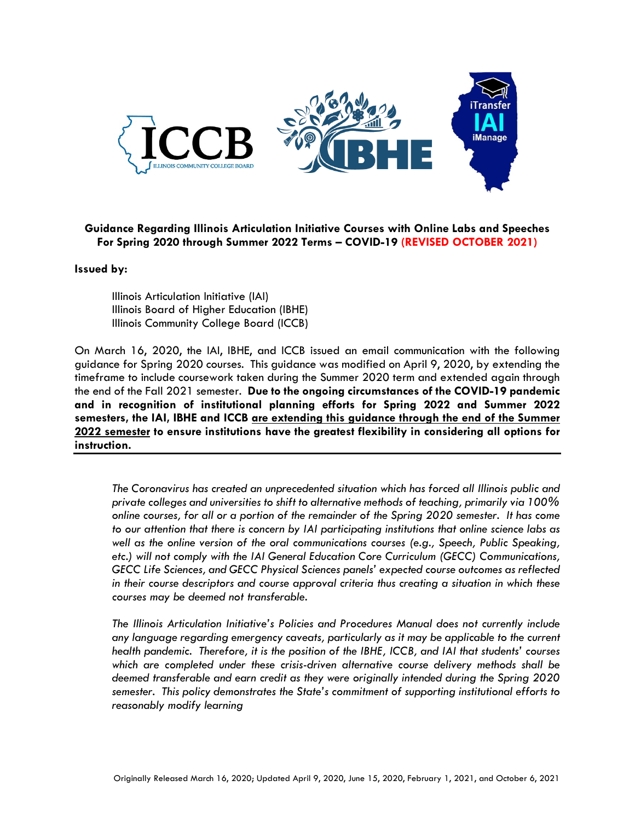

## **Guidance Regarding Illinois Articulation Initiative Courses with Online Labs and Speeches For Spring 2020 through Summer 2022 Terms – COVID-19 (REVISED OCTOBER 2021)**

## **Issued by:**

Illinois Articulation Initiative (IAI) Illinois Board of Higher Education (IBHE) Illinois Community College Board (ICCB)

On March 16, 2020, the IAI, IBHE, and ICCB issued an email communication with the following guidance for Spring 2020 courses. This guidance was modified on April 9, 2020, by extending the timeframe to include coursework taken during the Summer 2020 term and extended again through the end of the Fall 2021 semester. **Due to the ongoing circumstances of the COVID-19 pandemic and in recognition of institutional planning efforts for Spring 2022 and Summer 2022 semesters, the IAI, IBHE and ICCB are extending this guidance through the end of the Summer 2022 semester to ensure institutions have the greatest flexibility in considering all options for instruction.**

*The Coronavirus has created an unprecedented situation which has forced all Illinois public and private colleges and universities to shift to alternative methods of teaching, primarily via 100% online courses, for all or a portion of the remainder of the Spring 2020 semester. It has come to our attention that there is concern by IAI participating institutions that online science labs as well as the online version of the oral communications courses (e.g., Speech, Public Speaking, etc.) will not comply with the IAI General Education Core Curriculum (GECC) Communications, GECC Life Sciences, and GECC Physical Sciences panels' expected course outcomes as reflected in their course descriptors and course approval criteria thus creating a situation in which these courses may be deemed not transferable.* 

*The Illinois Articulation Initiative's Policies and Procedures Manual does not currently include any language regarding emergency caveats, particularly as it may be applicable to the current health pandemic. Therefore, it is the position of the IBHE, ICCB, and IAI that students' courses which are completed under these crisis-driven alternative course delivery methods shall be deemed transferable and earn credit as they were originally intended during the Spring 2020 semester. This policy demonstrates the State's commitment of supporting institutional efforts to reasonably modify learning*